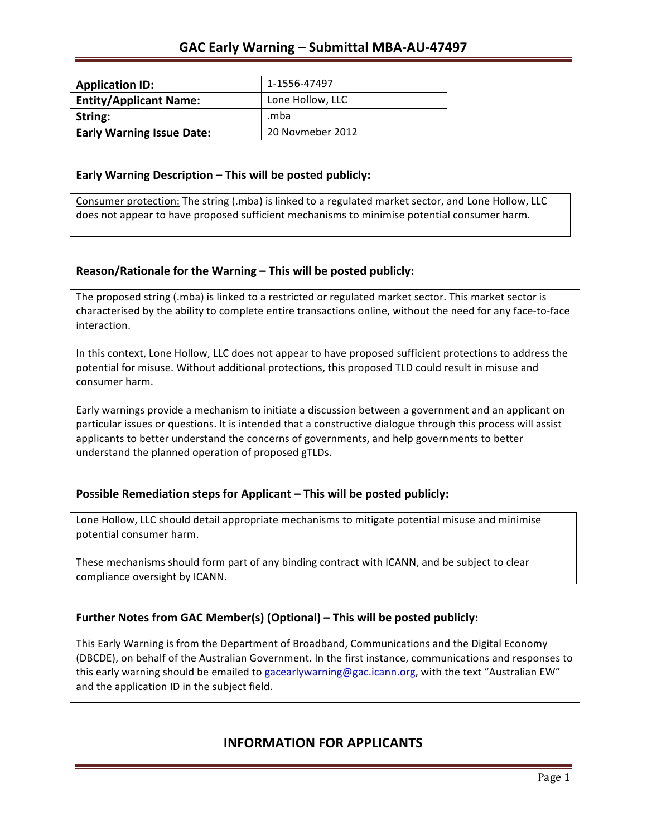| <b>Application ID:</b>           | 1-1556-47497     |
|----------------------------------|------------------|
| <b>Entity/Applicant Name:</b>    | Lone Hollow, LLC |
| String:                          | mba.             |
| <b>Early Warning Issue Date:</b> | 20 Novmeber 2012 |

### **Early Warning Description – This will be posted publicly:**

Consumer protection: The string (.mba) is linked to a regulated market sector, and Lone Hollow, LLC does not appear to have proposed sufficient mechanisms to minimise potential consumer harm.

## **Reason/Rationale for the Warning – This will be posted publicly:**

The proposed string (.mba) is linked to a restricted or regulated market sector. This market sector is characterised by the ability to complete entire transactions online, without the need for any face-to-face interaction.

In this context, Lone Hollow, LLC does not appear to have proposed sufficient protections to address the potential for misuse. Without additional protections, this proposed TLD could result in misuse and consumer harm.

Early warnings provide a mechanism to initiate a discussion between a government and an applicant on particular issues or questions. It is intended that a constructive dialogue through this process will assist applicants to better understand the concerns of governments, and help governments to better understand the planned operation of proposed gTLDs.

## **Possible Remediation steps for Applicant – This will be posted publicly:**

Lone Hollow, LLC should detail appropriate mechanisms to mitigate potential misuse and minimise potential consumer harm.

These mechanisms should form part of any binding contract with ICANN, and be subject to clear compliance oversight by ICANN.

## **Further Notes from GAC Member(s) (Optional)** – This will be posted publicly:

This Early Warning is from the Department of Broadband, Communications and the Digital Economy (DBCDE), on behalf of the Australian Government. In the first instance, communications and responses to this early warning should be emailed to gacearlywarning@gac.icann.org, with the text "Australian EW" and the application ID in the subject field.

# **INFORMATION FOR APPLICANTS**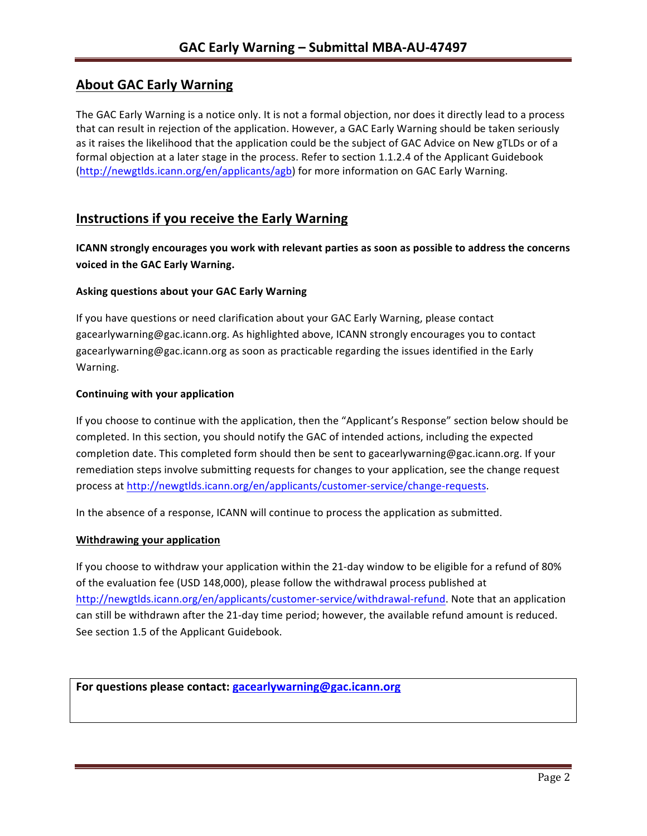# **About GAC Early Warning**

The GAC Early Warning is a notice only. It is not a formal objection, nor does it directly lead to a process that can result in rejection of the application. However, a GAC Early Warning should be taken seriously as it raises the likelihood that the application could be the subject of GAC Advice on New gTLDs or of a formal objection at a later stage in the process. Refer to section 1.1.2.4 of the Applicant Guidebook (http://newgtlds.icann.org/en/applicants/agb) for more information on GAC Early Warning.

## **Instructions if you receive the Early Warning**

**ICANN** strongly encourages you work with relevant parties as soon as possible to address the concerns **voiced in the GAC Early Warning.** 

#### **Asking questions about your GAC Early Warning**

If you have questions or need clarification about your GAC Early Warning, please contact gacearlywarning@gac.icann.org. As highlighted above, ICANN strongly encourages you to contact gacearlywarning@gac.icann.org as soon as practicable regarding the issues identified in the Early Warning. 

#### **Continuing with your application**

If you choose to continue with the application, then the "Applicant's Response" section below should be completed. In this section, you should notify the GAC of intended actions, including the expected completion date. This completed form should then be sent to gacearlywarning@gac.icann.org. If your remediation steps involve submitting requests for changes to your application, see the change request process at http://newgtlds.icann.org/en/applicants/customer-service/change-requests.

In the absence of a response, ICANN will continue to process the application as submitted.

#### **Withdrawing your application**

If you choose to withdraw your application within the 21-day window to be eligible for a refund of 80% of the evaluation fee (USD 148,000), please follow the withdrawal process published at http://newgtlds.icann.org/en/applicants/customer-service/withdrawal-refund. Note that an application can still be withdrawn after the 21-day time period; however, the available refund amount is reduced. See section 1.5 of the Applicant Guidebook.

For questions please contact: gacearlywarning@gac.icann.org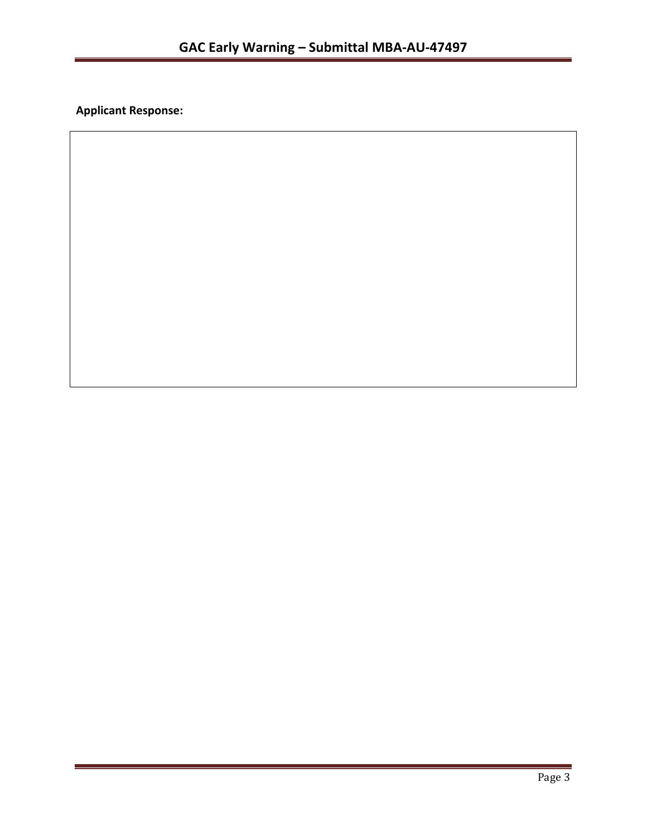**Applicant Response:**